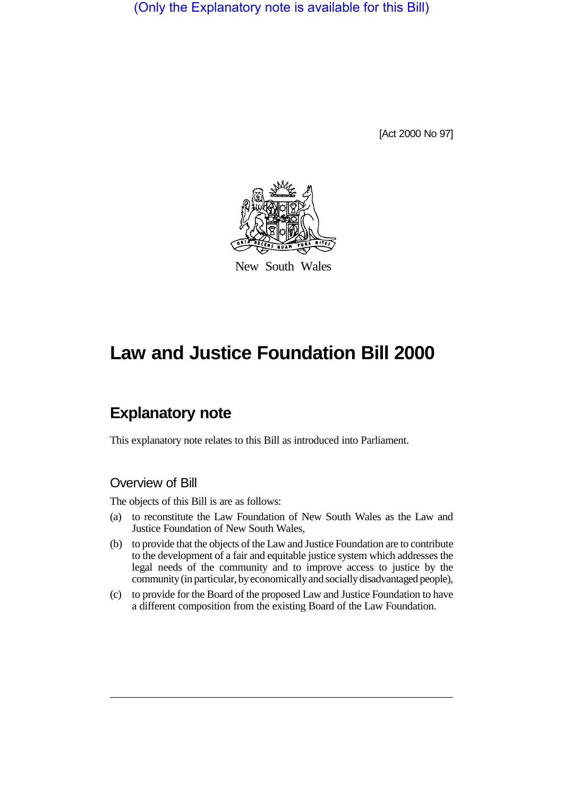(Only the Explanatory note is available for this Bill)

[Act 2000 No 97]



New South Wales

# **Law and Justice Foundation Bill 2000**

# **Explanatory note**

This explanatory note relates to this Bill as introduced into Parliament.

### Overview of Bill

The objects of this Bill is are as follows:

- (a) to reconstitute the Law Foundation of New South Wales as the Law and Justice Foundation of New South Wales,
- (b) to provide that the objects of the Law and Justice Foundation are to contribute to the development of a fair and equitable justice system which addresses the legal needs of the community and to improve access to justice by the community (in particular, by economically and socially disadvantaged people),
- (c) to provide for the Board of the proposed Law and Justice Foundation to have a different composition from the existing Board of the Law Foundation.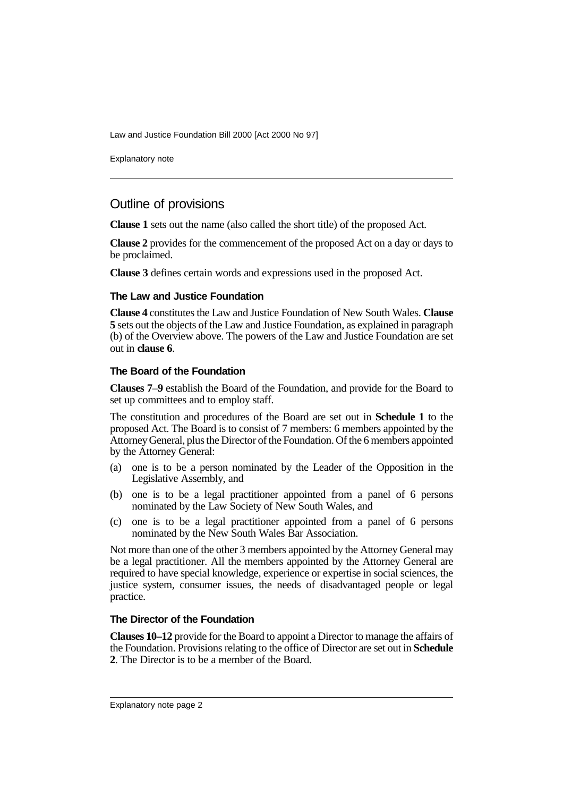Law and Justice Foundation Bill 2000 [Act 2000 No 97]

Explanatory note

## Outline of provisions

**Clause 1** sets out the name (also called the short title) of the proposed Act.

**Clause 2** provides for the commencement of the proposed Act on a day or days to be proclaimed.

**Clause 3** defines certain words and expressions used in the proposed Act.

#### **The Law and Justice Foundation**

**Clause 4** constitutes the Law and Justice Foundation of New South Wales. **Clause 5** sets out the objects of the Law and Justice Foundation, as explained in paragraph (b) of the Overview above. The powers of the Law and Justice Foundation are set out in **clause 6**.

#### **The Board of the Foundation**

**Clauses 7**–**9** establish the Board of the Foundation, and provide for the Board to set up committees and to employ staff.

The constitution and procedures of the Board are set out in **Schedule 1** to the proposed Act. The Board is to consist of 7 members: 6 members appointed by the Attorney General, plus the Director of the Foundation. Of the 6 members appointed by the Attorney General:

- (a) one is to be a person nominated by the Leader of the Opposition in the Legislative Assembly, and
- (b) one is to be a legal practitioner appointed from a panel of 6 persons nominated by the Law Society of New South Wales, and
- (c) one is to be a legal practitioner appointed from a panel of 6 persons nominated by the New South Wales Bar Association.

Not more than one of the other 3 members appointed by the Attorney General may be a legal practitioner. All the members appointed by the Attorney General are required to have special knowledge, experience or expertise in social sciences, the justice system, consumer issues, the needs of disadvantaged people or legal practice.

#### **The Director of the Foundation**

**Clauses 10–12** provide for the Board to appoint a Director to manage the affairs of the Foundation. Provisions relating to the office of Director are set out in **Schedule 2**. The Director is to be a member of the Board.